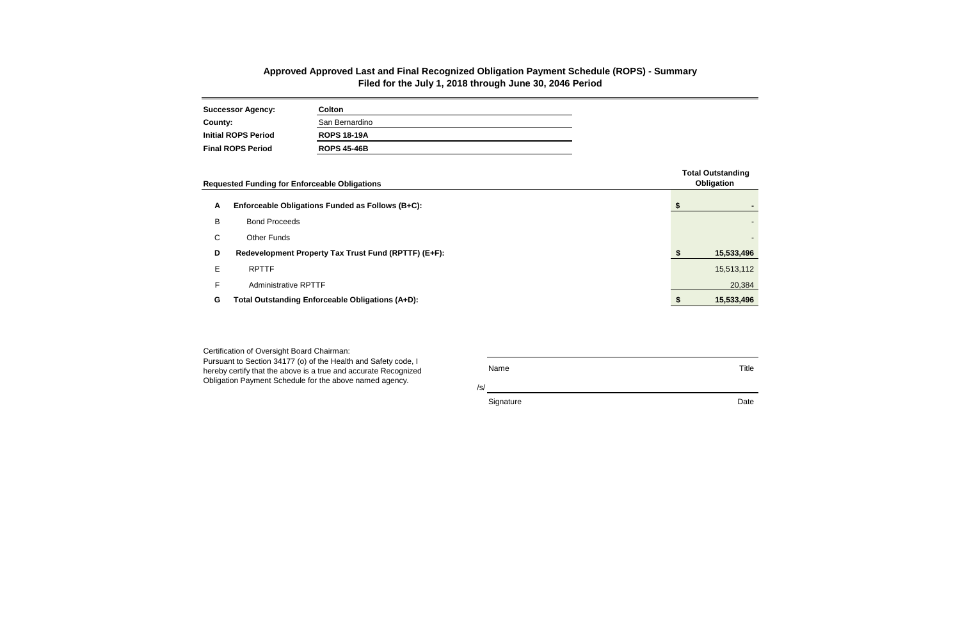| <b>Successor Agency:</b>   | Colton             |
|----------------------------|--------------------|
| County:                    | San Bernardino     |
| <b>Initial ROPS Period</b> | <b>ROPS 18-19A</b> |
| <b>Final ROPS Period</b>   | <b>ROPS 45-46B</b> |

/s/

Signature Date **Date** 

Certification of Oversight Board Chairman: Pursuant to Section 34177 (o) of the Health and Safety code, I

|              | <b>Requested Funding for Enforceable Obligations</b> |  | <b>Total Outstanding</b><br>Obligation |
|--------------|------------------------------------------------------|--|----------------------------------------|
| A            | Enforceable Obligations Funded as Follows (B+C):     |  | ۰                                      |
| B            | <b>Bond Proceeds</b>                                 |  |                                        |
| $\mathsf{C}$ | <b>Other Funds</b>                                   |  | ٠                                      |
| D            | Redevelopment Property Tax Trust Fund (RPTTF) (E+F): |  | 15,533,496                             |
| E            | <b>RPTTF</b>                                         |  | 15,513,112                             |
| F.           | <b>Administrative RPTTF</b>                          |  | 20,384                                 |
| G            | Total Outstanding Enforceable Obligations (A+D):     |  | 15,533,496                             |

hereby certify that the above is a true and accurate Recognized Obligation Payment Schedule for the above named agency.

Name Title

## **Approved Approved Last and Final Recognized Obligation Payment Schedule (ROPS) - Summary Filed for the July 1, 2018 through June 30, 2046 Period**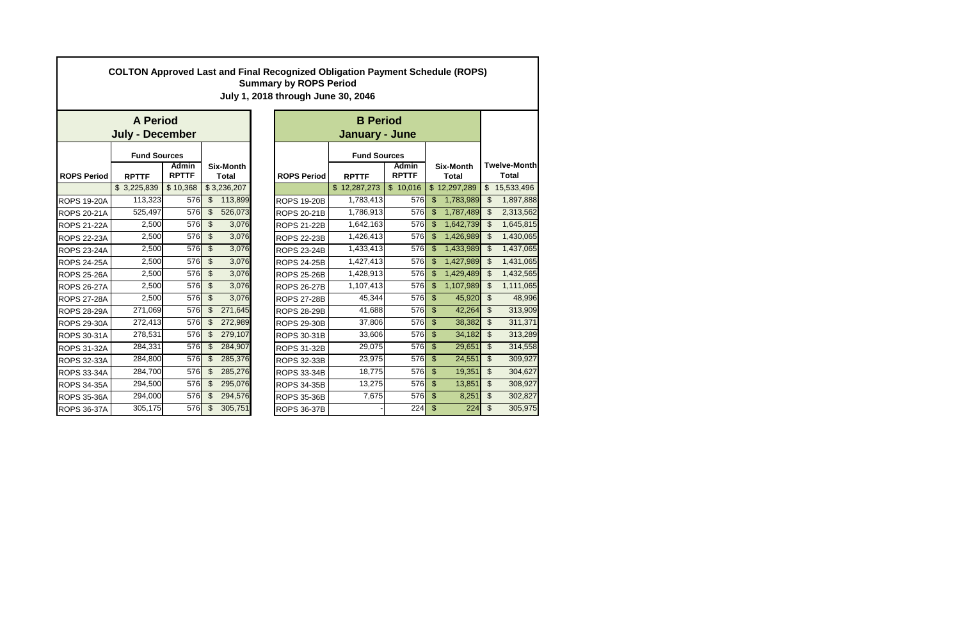| <b>COLTON Approved Last and Final Recognized Obligation Payment Schedule (ROPS)</b><br><b>Summary by ROPS Period</b><br>July 1, 2018 through June 30, 2046 |                        |                              |                           |                                  |  |                    |  |                     |          |                    |              |                           |                              |  |                                  |  |                                     |
|------------------------------------------------------------------------------------------------------------------------------------------------------------|------------------------|------------------------------|---------------------------|----------------------------------|--|--------------------|--|---------------------|----------|--------------------|--------------|---------------------------|------------------------------|--|----------------------------------|--|-------------------------------------|
|                                                                                                                                                            | <b>A Period</b>        |                              |                           |                                  |  |                    |  |                     |          |                    |              |                           |                              |  |                                  |  |                                     |
|                                                                                                                                                            | <b>July - December</b> |                              |                           |                                  |  |                    |  | January - June      |          |                    |              |                           |                              |  |                                  |  |                                     |
|                                                                                                                                                            | <b>Fund Sources</b>    |                              |                           |                                  |  |                    |  | <b>Fund Sources</b> |          |                    |              |                           |                              |  |                                  |  |                                     |
| <b>ROPS Period</b>                                                                                                                                         | <b>RPTTF</b>           | <b>Admin</b><br><b>RPTTF</b> |                           | <b>Six-Month</b><br><b>Total</b> |  |                    |  |                     |          | <b>ROPS Period</b> |              | <b>RPTTF</b>              | <b>Admin</b><br><b>RPTTF</b> |  | <b>Six-Month</b><br><b>Total</b> |  | <b>Twelve-Month</b><br><b>Total</b> |
|                                                                                                                                                            | \$3,225,839            | \$10,368                     | \$3,236,207               |                                  |  |                    |  | \$12,287,273        | \$10,016 |                    | \$12,297,289 |                           | $\overline{\$}$ 15,533,496   |  |                                  |  |                                     |
| <b>ROPS 19-20A</b>                                                                                                                                         | 113,323                | 576                          | $\mathfrak{S}$            | 113,899                          |  | <b>ROPS 19-20B</b> |  | 1,783,413           | 576      | $\mathfrak{S}$     | 1,783,989    | $\mathfrak{S}$            | 1,897,888                    |  |                                  |  |                                     |
| <b>ROPS 20-21A</b>                                                                                                                                         | 525,497                | 576                          | $\mathfrak{S}$            | 526,073                          |  | <b>ROPS 20-21B</b> |  | 1,786,913           | 576      | $\mathcal{S}$      | 1,787,489    | $\mathfrak{L}$            | 2,313,562                    |  |                                  |  |                                     |
| <b>ROPS 21-22A</b>                                                                                                                                         | 2,500                  | 576                          | $\overline{\mathcal{S}}$  | 3,076                            |  | <b>ROPS 21-22B</b> |  | 1,642,163           | 576      | $\mathfrak{L}$     | 1,642,739    | $\mathfrak{L}$            | 1,645,815                    |  |                                  |  |                                     |
| <b>ROPS 22-23A</b>                                                                                                                                         | 2,500                  | 576                          | $\mathfrak{S}$            | 3,076                            |  | <b>ROPS 22-23B</b> |  | 1,426,413           | 576      | $\mathfrak{S}$     | 1,426,989    | $\mathcal{S}$             | 1,430,065                    |  |                                  |  |                                     |
| <b>ROPS 23-24A</b>                                                                                                                                         | 2,500                  | 576                          | $\overline{\mathbf{3}}$   | 3,076                            |  | <b>ROPS 23-24B</b> |  | 1,433,413           | 576      | $\mathfrak{S}$     | 1,433,989    | $\mathfrak{L}$            | 1,437,065                    |  |                                  |  |                                     |
| <b>ROPS 24-25A</b>                                                                                                                                         | 2,500                  | 576                          | $\overline{\mathcal{S}}$  | 3,076                            |  | <b>ROPS 24-25B</b> |  | 1,427,413           | 576      | $\mathfrak{S}$     | 1,427,989    | $\mathcal{S}$             | 1,431,065                    |  |                                  |  |                                     |
| <b>ROPS 25-26A</b>                                                                                                                                         | 2,500                  | 576                          | $\mathfrak{S}$            | 3,076                            |  | <b>ROPS 25-26B</b> |  | 1,428,913           | 576      | $\mathfrak{S}$     | 1,429,489    | $\mathfrak{L}$            | 1,432,565                    |  |                                  |  |                                     |
| <b>ROPS 26-27A</b>                                                                                                                                         | 2,500                  | 576                          | $\overline{\mathbf{3}}$   | 3,076                            |  | <b>ROPS 26-27B</b> |  | 1,107,413           | 576      | $\mathfrak{S}$     | 1,107,989    | $\mathfrak{S}$            | 1,111,065                    |  |                                  |  |                                     |
| <b>ROPS 27-28A</b>                                                                                                                                         | 2,500                  | 576                          | $\boldsymbol{\mathsf{S}}$ | 3,076                            |  | <b>ROPS 27-28B</b> |  | 45,344              | 576      | $\$\$              | 45,920       | $\boldsymbol{\mathsf{S}}$ | 48,996                       |  |                                  |  |                                     |
| <b>ROPS 28-29A</b>                                                                                                                                         | 271,069                | 576                          | $\mathfrak{S}$            | 271,645                          |  | <b>ROPS 28-29B</b> |  | 41,688              | 576      | $\mathfrak{S}$     | 42,264       | $\mathcal{S}$             | 313,909                      |  |                                  |  |                                     |
| <b>ROPS 29-30A</b>                                                                                                                                         | 272,413                | 576                          | \$                        | 272,989                          |  | <b>ROPS 29-30B</b> |  | 37,806              | 576      | $\mathfrak{S}$     | 38,382       | $\mathcal{S}$             | 311,371                      |  |                                  |  |                                     |
| <b>ROPS 30-31A</b>                                                                                                                                         | 278,531                | 576                          | $\mathfrak{S}$            | 279,107                          |  | <b>ROPS 30-31B</b> |  | 33,606              | 576      | $\mathfrak{S}$     | 34,182       | $\mathfrak{S}$            | 313,289                      |  |                                  |  |                                     |
| <b>ROPS 31-32A</b>                                                                                                                                         | 284,331                | 576                          | \$                        | 284,907                          |  | <b>ROPS 31-32B</b> |  | 29,075              | 576      | $\mathfrak{L}$     | 29,651       | $\mathfrak{L}$            | 314,558                      |  |                                  |  |                                     |
| ROPS 32-33A                                                                                                                                                | 284,800                | 576                          | $\mathcal{S}$             | 285,376                          |  | <b>ROPS 32-33B</b> |  | 23,975              | 576      | $\mathfrak{S}$     | 24,551       | $\mathcal{S}$             | 309,927                      |  |                                  |  |                                     |
| <b>ROPS 33-34A</b>                                                                                                                                         | 284,700                | 576                          | $\mathcal{S}$             | 285,276                          |  | <b>ROPS 33-34B</b> |  | 18,775              | 576      | $\mathfrak{S}$     | 19,351       | $\mathcal{S}$             | 304,627                      |  |                                  |  |                                     |
| <b>ROPS 34-35A</b>                                                                                                                                         | 294,500                | 576                          | \$                        | 295,076                          |  | <b>ROPS 34-35B</b> |  | 13,275              | 576      | $\mathcal{S}$      | 13,851       | $\mathcal{S}$             | 308,927                      |  |                                  |  |                                     |
| <b>ROPS 35-36A</b>                                                                                                                                         | 294,000                | 576                          | $\mathcal{S}$             | 294,576                          |  | <b>ROPS 35-36B</b> |  | 7,675               | 576      | $\mathfrak{S}$     | 8,251        | $\mathcal{S}$             | 302,827                      |  |                                  |  |                                     |
| <b>ROPS 36-37A</b>                                                                                                                                         | 305,175                | 576                          | $\mathcal{S}$             | 305,751                          |  | <b>ROPS 36-37B</b> |  |                     | 224      | \$                 | 224          | $\mathcal{S}$             | 305,975                      |  |                                  |  |                                     |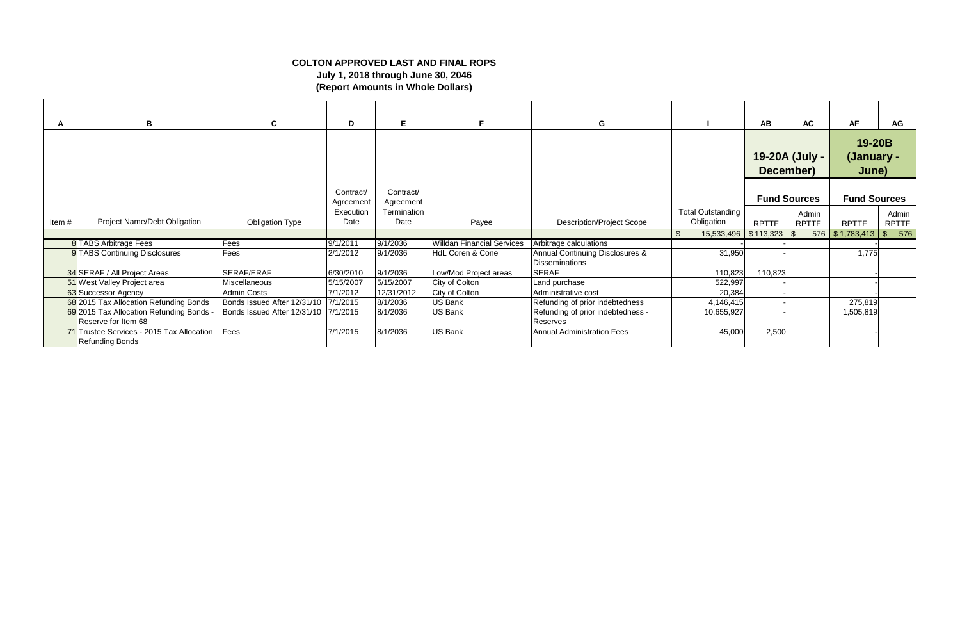|       | B                                                               | $\mathbf{c}$                         | D                      | E.                     | F.                                | G                                                        |                                        | AB           | <b>AC</b>                   | <b>AF</b>                     | AG                    |
|-------|-----------------------------------------------------------------|--------------------------------------|------------------------|------------------------|-----------------------------------|----------------------------------------------------------|----------------------------------------|--------------|-----------------------------|-------------------------------|-----------------------|
|       |                                                                 |                                      |                        |                        |                                   |                                                          |                                        |              | 19-20A (July -<br>December) | 19-20B<br>(January -<br>June) |                       |
|       |                                                                 |                                      | Contract/<br>Agreement | Contract/<br>Agreement |                                   |                                                          |                                        |              | <b>Fund Sources</b>         | <b>Fund Sources</b>           |                       |
| Item# | Project Name/Debt Obligation                                    | <b>Obligation Type</b>               | Execution<br>Date      | Termination<br>Date    | Payee                             | <b>Description/Project Scope</b>                         | <b>Total Outstanding</b><br>Obligation | <b>RPTTF</b> | Admin<br><b>RPTTF</b>       | <b>RPTTF</b>                  | Admin<br><b>RPTTF</b> |
|       |                                                                 |                                      |                        |                        |                                   |                                                          | 15,533,496<br>-\$                      | \$113,323    | 576<br>-\$                  | \$1,783,413                   | 576<br>\$             |
|       | 8 TABS Arbitrage Fees                                           | Fees                                 | 9/1/2011               | 9/1/2036               | <b>Willdan Financial Services</b> | Arbitrage calculations                                   |                                        |              |                             |                               |                       |
|       | 9 TABS Continuing Disclosures                                   | Fees                                 | 2/1/2012               | 9/1/2036               | <b>HdL Coren &amp; Cone</b>       | Annual Continuing Disclosures &<br><b>Disseminations</b> | 31,950                                 |              |                             | 1,775                         |                       |
|       | 34 SERAF / All Project Areas                                    | SERAF/ERAF                           | 6/30/2010              | 9/1/2036               | Low/Mod Project areas             | <b>SERAF</b>                                             | 110,823                                | 110,823      |                             |                               |                       |
|       | 51 West Valley Project area                                     | Miscellaneous                        | 5/15/2007              | 5/15/2007              | City of Colton                    | Land purchase                                            | 522,997                                |              |                             |                               |                       |
|       | 63 Successor Agency                                             | <b>Admin Costs</b>                   | 7/1/2012               | 12/31/2012             | City of Colton                    | Administrative cost                                      | 20,384                                 |              |                             |                               |                       |
|       | 68 2015 Tax Allocation Refunding Bonds                          | Bonds Issued After 12/31/10 7/1/2015 |                        | 8/1/2036               | <b>US Bank</b>                    | Refunding of prior indebtedness                          | 4,146,415                              |              |                             | 275,819                       |                       |
|       | 69 2015 Tax Allocation Refunding Bonds -<br>Reserve for Item 68 | Bonds Issued After 12/31/10 7/1/2015 |                        | 8/1/2036               | <b>US Bank</b>                    | Refunding of prior indebtedness -<br>Reserves            | 10,655,927                             |              |                             | 1,505,819                     |                       |
|       | 71 Trustee Services - 2015 Tax Allocation<br>Refunding Bonds    | Fees                                 | 7/1/2015               | 8/1/2036               | <b>US Bank</b>                    | <b>Annual Administration Fees</b>                        | 45,000                                 | 2,500        |                             |                               |                       |

## **COLTON APPROVED LAST AND FINAL ROPS July 1, 2018 through June 30, 2046 (Report Amounts in Whole Dollars)**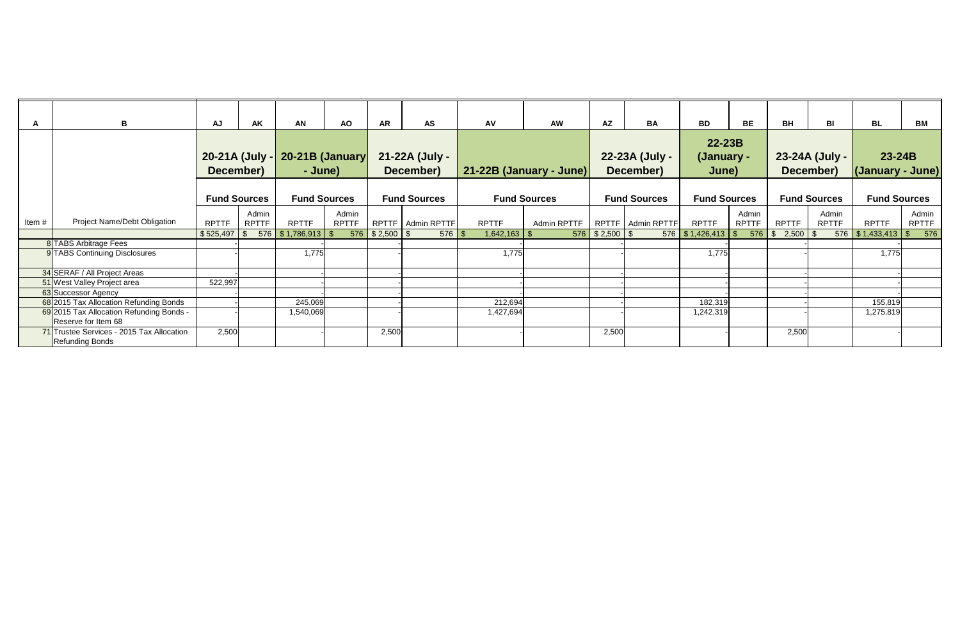| A        | B                                                                   | AJ                  | AK           | AN                                  | <b>AO</b>                      | <b>AR</b>                                  | <b>AS</b>           | AV             | <b>AW</b>               | <b>AZ</b>                                  | <b>BA</b>           | <b>BD</b>                           | BE           | <b>BH</b>                               | BI           | <b>BL</b>           | BM                             |
|----------|---------------------------------------------------------------------|---------------------|--------------|-------------------------------------|--------------------------------|--------------------------------------------|---------------------|----------------|-------------------------|--------------------------------------------|---------------------|-------------------------------------|--------------|-----------------------------------------|--------------|---------------------|--------------------------------|
|          |                                                                     |                     |              |                                     |                                |                                            |                     |                |                         |                                            |                     |                                     |              |                                         |              |                     |                                |
|          |                                                                     |                     |              |                                     |                                |                                            |                     |                |                         |                                            |                     | $22 - 23B$                          |              |                                         |              |                     |                                |
|          |                                                                     |                     |              |                                     | 20-21A (July - 20-21B (January |                                            | 21-22A (July -      |                |                         | 22-23A (July -                             |                     | (January -                          |              | 23-24A (July -                          |              | $23-24B$            |                                |
|          |                                                                     | December)           |              | - June)                             |                                |                                            | December)           |                | 21-22B (January - June) |                                            | December)           | June)                               |              | December)                               |              | (January - June)    |                                |
|          |                                                                     |                     |              |                                     |                                |                                            |                     |                |                         |                                            |                     |                                     |              |                                         |              |                     |                                |
|          |                                                                     | <b>Fund Sources</b> |              | <b>Fund Sources</b>                 |                                |                                            | <b>Fund Sources</b> |                | <b>Fund Sources</b>     | <b>Fund Sources</b>                        |                     | <b>Fund Sources</b>                 |              | <b>Fund Sources</b>                     |              | <b>Fund Sources</b> |                                |
|          |                                                                     |                     | Admin        |                                     | Admin                          |                                            |                     |                |                         |                                            |                     |                                     | Admin        |                                         | Admin        |                     | Admin                          |
| Item $#$ | Project Name/Debt Obligation                                        | <b>RPTTF</b>        | <b>RPTTF</b> | <b>RPTTF</b>                        | <b>RPTTF</b>                   |                                            | RPTTF   Admin RPTTF | <b>RPTTF</b>   | Admin RPTTF             |                                            | RPTTF   Admin RPTTF | <b>RPTTF</b>                        | <b>RPTTF</b> | <b>RPTTF</b>                            | <b>RPTTF</b> | <b>RPTTF</b>        | <b>RPTTF</b>                   |
|          |                                                                     | \$525,497           |              | $576$ $\mid$ \$ 1,786,913 $\mid$ \$ |                                | $576$ $\frac{1}{9}$ \$ 2,500 $\frac{1}{9}$ | $576$   \$          | $1,642,163$ \$ |                         | $576$ $\frac{1}{2}$ \$ 2,500 $\frac{1}{2}$ |                     | $576$ $\mid$ \$ 1,426,413 $\mid$ \$ |              | $576$ $\frac{1}{9}$ 2,500 $\frac{1}{9}$ |              | 576 \$1,433,413     | 576<br>$\sqrt[6]{\frac{1}{2}}$ |
|          | 8 TABS Arbitrage Fees                                               |                     |              |                                     |                                |                                            |                     |                |                         |                                            |                     |                                     |              |                                         |              |                     |                                |
|          | 9 TABS Continuing Disclosures                                       |                     |              | 1,775                               |                                |                                            |                     | 1,775          |                         |                                            |                     | 1,775                               |              |                                         |              | 1,775               |                                |
|          | 34 SERAF / All Project Areas                                        |                     |              |                                     |                                |                                            |                     |                |                         |                                            |                     |                                     |              |                                         |              |                     |                                |
|          | 51 West Valley Project area                                         | 522,997             |              |                                     |                                |                                            |                     |                |                         |                                            |                     |                                     |              |                                         |              |                     |                                |
|          | 63 Successor Agency                                                 |                     |              |                                     |                                |                                            |                     |                |                         |                                            |                     |                                     |              |                                         |              |                     |                                |
|          | 68 2015 Tax Allocation Refunding Bonds                              |                     |              | 245,069                             |                                |                                            |                     | 212,694        |                         |                                            |                     | 182,319                             |              |                                         |              | 155,819             |                                |
|          | 69 2015 Tax Allocation Refunding Bonds -<br>Reserve for Item 68     |                     |              | 1,540,069                           |                                |                                            |                     | 1,427,694      |                         |                                            |                     | 1,242,319                           |              |                                         |              | 1,275,819           |                                |
|          | 71 Trustee Services - 2015 Tax Allocation<br><b>Refunding Bonds</b> | 2,500               |              |                                     |                                | 2,500                                      |                     |                |                         | 2,500                                      |                     |                                     |              | 2,500                                   |              |                     |                                |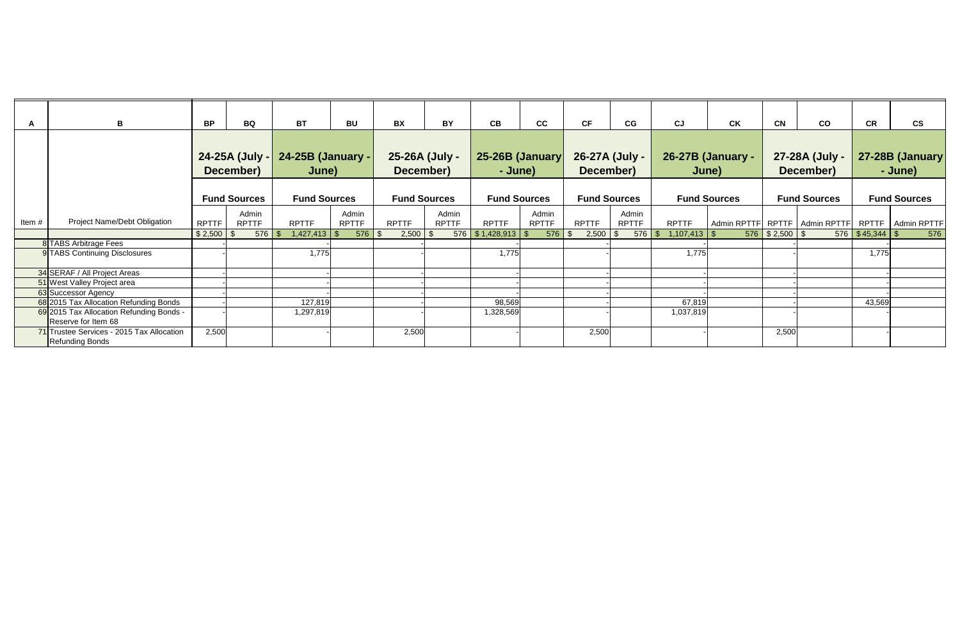| A     | B                                                                   | <b>BP</b>    | BQ                          | <b>BT</b>                  | BU                    | <b>BX</b>                   | BY                    | CB                                  | cc                    | <b>CF</b>                   | CG                          | $c_J$          | <b>CK</b>                         | <b>CN</b>          | co                          | $\mathbf{c}\mathbf{s}$<br><b>CR</b>                   |     |
|-------|---------------------------------------------------------------------|--------------|-----------------------------|----------------------------|-----------------------|-----------------------------|-----------------------|-------------------------------------|-----------------------|-----------------------------|-----------------------------|----------------|-----------------------------------|--------------------|-----------------------------|-------------------------------------------------------|-----|
|       |                                                                     |              | 24-25A (July -<br>December) | 24-25B (January -<br>June) |                       | 25-26A (July -<br>December) |                       | 25-26B (January<br>- June)          |                       | 26-27A (July -<br>December) |                             |                | <b>26-27B (January -</b><br>June) |                    | 27-28A (July -<br>December) | 27-28B (January<br>- June)                            |     |
|       |                                                                     |              | <b>Fund Sources</b>         | <b>Fund Sources</b>        |                       |                             | <b>Fund Sources</b>   | <b>Fund Sources</b>                 |                       | <b>Fund Sources</b>         |                             |                | <b>Fund Sources</b>               |                    | <b>Fund Sources</b>         | <b>Fund Sources</b>                                   |     |
| Item# | Project Name/Debt Obligation                                        | <b>RPTTF</b> | Admin<br><b>RPTTF</b>       | <b>RPTTF</b>               | Admin<br><b>RPTTF</b> | <b>RPTTF</b>                | Admin<br><b>RPTTF</b> | <b>RPTTF</b>                        | Admin<br><b>RPTTF</b> | <b>RPTTF</b>                | Admin<br><b>RPTTF</b>       | <b>RPTTF</b>   |                                   |                    |                             | Admin RPTTF RPTTF   Admin RPTTF   RPTTF   Admin RPTTF |     |
|       |                                                                     |              | 576                         | $1,427,413$ \$<br>- SS     | $576$ \ \$            |                             |                       | $576$ $\mid$ \$ 1,428,913 $\mid$ \$ | $576$ \$              | 2,500                       | $576$ \ \$<br>$\mathcal{S}$ | $1,107,413$ \$ |                                   | $576$ $$2,500$ $$$ |                             | $576$ $\sqrt{$}45,344$ $\sqrt{$}$                     | 576 |
|       | 8 TABS Arbitrage Fees                                               |              |                             |                            |                       |                             |                       |                                     |                       |                             |                             |                |                                   |                    |                             |                                                       |     |
|       | 9 TABS Continuing Disclosures                                       |              |                             | 1,775                      |                       |                             |                       | 1,775                               |                       |                             |                             | 1,775          |                                   |                    |                             | 1,775                                                 |     |
|       | 34 SERAF / All Project Areas                                        |              |                             |                            |                       |                             |                       |                                     |                       |                             |                             |                |                                   |                    |                             |                                                       |     |
|       | 51 West Valley Project area                                         |              |                             |                            |                       |                             |                       |                                     |                       |                             |                             |                |                                   |                    |                             |                                                       |     |
|       | 63 Successor Agency                                                 |              |                             |                            |                       |                             |                       |                                     |                       |                             |                             |                |                                   |                    |                             |                                                       |     |
|       | 68 2015 Tax Allocation Refunding Bonds                              |              |                             | 127,819                    |                       |                             |                       | 98,569                              |                       |                             |                             | 67,819         |                                   |                    |                             | 43,569                                                |     |
|       | 69 2015 Tax Allocation Refunding Bonds -<br>Reserve for Item 68     |              |                             | 1,297,819                  |                       |                             |                       | 1,328,569                           |                       |                             |                             | 1,037,819      |                                   |                    |                             |                                                       |     |
|       | 71 Trustee Services - 2015 Tax Allocation<br><b>Refunding Bonds</b> | 2,500        |                             |                            |                       | 2,500                       |                       |                                     |                       | 2,500                       |                             |                |                                   | 2,500              |                             |                                                       |     |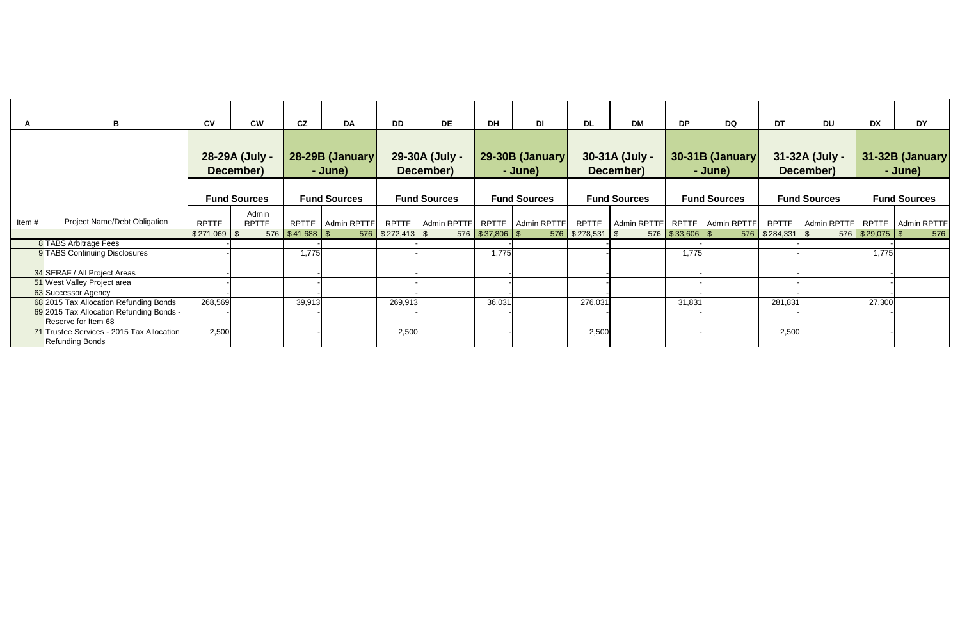|                                           | B                                   | $c_{V}$      | <b>CW</b>           | cz                  | <b>DA</b>           | <b>DD</b>            | <b>DE</b>           | <b>DH</b>           | DI                          | <b>DL</b>            | <b>DM</b>                         | <b>DP</b>           | <b>DQ</b> | DT                                      | <b>DU</b> | <b>DX</b>           | <b>DY</b>                       |
|-------------------------------------------|-------------------------------------|--------------|---------------------|---------------------|---------------------|----------------------|---------------------|---------------------|-----------------------------|----------------------|-----------------------------------|---------------------|-----------|-----------------------------------------|-----------|---------------------|---------------------------------|
|                                           |                                     |              |                     |                     |                     |                      |                     |                     |                             |                      |                                   |                     |           |                                         |           |                     |                                 |
|                                           |                                     |              |                     |                     |                     |                      |                     |                     |                             |                      |                                   |                     |           |                                         |           |                     |                                 |
|                                           |                                     |              | 28-29A (July -      |                     | 28-29B (January     |                      | 29-30A (July -      |                     | 29-30B (January             | 30-31A (July -       |                                   | 30-31B (January     |           | 31-32A (July -                          |           | 31-32B (January     |                                 |
|                                           |                                     |              | December)           |                     | - June)             |                      | December)           |                     | - June)                     |                      | December)                         |                     | - June)   |                                         | December) |                     | - June)                         |
|                                           |                                     |              |                     |                     |                     |                      |                     |                     |                             |                      |                                   |                     |           |                                         |           |                     |                                 |
|                                           |                                     |              | <b>Fund Sources</b> |                     | <b>Fund Sources</b> |                      | <b>Fund Sources</b> |                     | <b>Fund Sources</b>         | <b>Fund Sources</b>  |                                   | <b>Fund Sources</b> |           | <b>Fund Sources</b>                     |           | <b>Fund Sources</b> |                                 |
|                                           |                                     |              | Admin               |                     |                     |                      |                     |                     |                             |                      |                                   |                     |           |                                         |           |                     |                                 |
| Item#                                     | <b>Project Name/Debt Obligation</b> | <b>RPTTF</b> | <b>RPTTF</b>        | RPTTF               | Admin RPTTF         | RPTTF                | Admin RPTTF         |                     | RPTTF   Admin RPTTF   RPTTF |                      | Admin RPTTF   RPTTF   Admin RPTTF |                     |           | RPTTF                                   |           |                     | Admin RPTTF RPTTF   Admin RPTTF |
|                                           |                                     |              |                     | $576$ $$41,688$ $$$ |                     | $576$ $$272,413$ $$$ |                     | $576$ $$37,806$ $$$ |                             | $576$ $$278,531$ $$$ |                                   | $576$ \$33,606 \$   |           | $576$ $\frac{1}{284,331}$ $\frac{1}{9}$ |           | $576$ $$29,075$ $$$ | 576                             |
|                                           | 8 TABS Arbitrage Fees               |              |                     |                     |                     |                      |                     |                     |                             |                      |                                   |                     |           |                                         |           |                     |                                 |
|                                           | 9 TABS Continuing Disclosures       |              |                     | 1,775               |                     |                      |                     | 1,775               |                             |                      |                                   | 1,775               |           |                                         |           | 1,775               |                                 |
|                                           | 34 SERAF / All Project Areas        |              |                     |                     |                     |                      |                     |                     |                             |                      |                                   |                     |           |                                         |           |                     |                                 |
|                                           | 51 West Valley Project area         |              |                     |                     |                     |                      |                     |                     |                             |                      |                                   |                     |           |                                         |           |                     |                                 |
|                                           | 63 Successor Agency                 |              |                     |                     |                     |                      |                     |                     |                             |                      |                                   |                     |           |                                         |           |                     |                                 |
| 68 2015 Tax Allocation Refunding Bonds    |                                     | 268,569      |                     | 39,913              |                     | 269,913              |                     | 36,031              |                             | 276,031              |                                   | 31,831              |           | 281,831                                 |           | 27,300              |                                 |
| 69 2015 Tax Allocation Refunding Bonds -  |                                     |              |                     |                     |                     |                      |                     |                     |                             |                      |                                   |                     |           |                                         |           |                     |                                 |
| Reserve for Item 68                       |                                     |              |                     |                     |                     |                      |                     |                     |                             |                      |                                   |                     |           |                                         |           |                     |                                 |
| 71 Trustee Services - 2015 Tax Allocation |                                     | 2,500        |                     |                     |                     | 2,500                |                     |                     |                             | 2,500                |                                   |                     |           | 2,500                                   |           |                     |                                 |
| <b>Refunding Bonds</b>                    |                                     |              |                     |                     |                     |                      |                     |                     |                             |                      |                                   |                     |           |                                         |           |                     |                                 |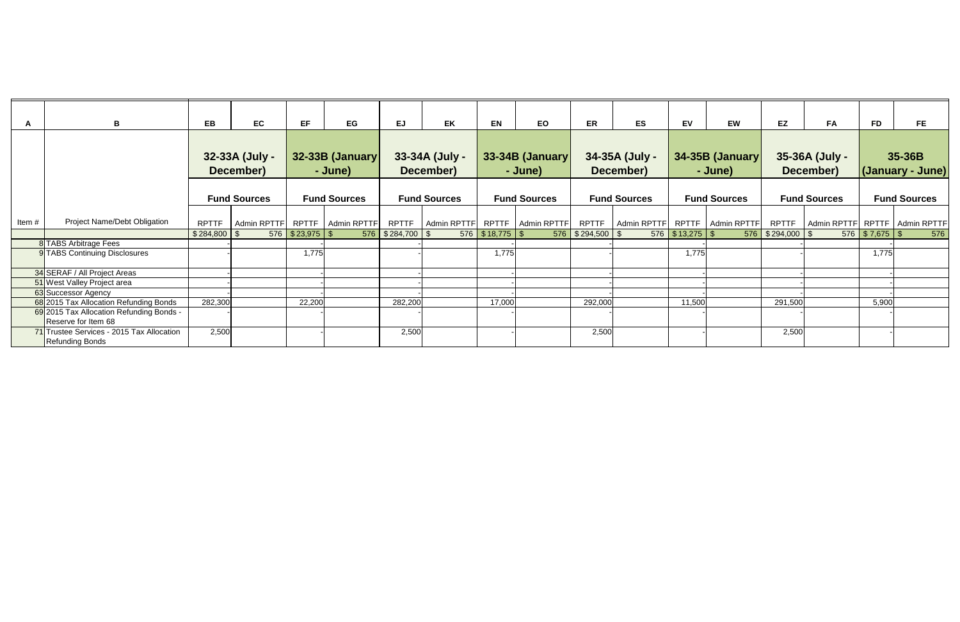| A     | B                                                                   | EB              | EC                          | EF.                 | EG                         | <b>EJ</b>            | EK                          | <b>EN</b>         | EO                                | ER                   | <b>ES</b>                   | <b>EV</b>       | <b>EW</b>                  | EZ<br><b>FA</b>             | <b>FD</b>          | <b>FE</b>                         |
|-------|---------------------------------------------------------------------|-----------------|-----------------------------|---------------------|----------------------------|----------------------|-----------------------------|-------------------|-----------------------------------|----------------------|-----------------------------|-----------------|----------------------------|-----------------------------|--------------------|-----------------------------------|
|       |                                                                     |                 | 32-33A (July -<br>December) |                     | 32-33B (January<br>- June) |                      | 33-34A (July -<br>December) |                   | 33-34B (January)<br>- June)       |                      | 34-35A (July -<br>December) |                 | 34-35B (January<br>- June) | 35-36A (July -<br>December) |                    | 35-36B<br>(January - June)        |
|       |                                                                     |                 | <b>Fund Sources</b>         |                     | <b>Fund Sources</b>        |                      | <b>Fund Sources</b>         |                   | <b>Fund Sources</b>               |                      | <b>Fund Sources</b>         |                 | <b>Fund Sources</b>        | <b>Fund Sources</b>         |                    | <b>Fund Sources</b>               |
| Item# | Project Name/Debt Obligation                                        | <b>RPTTF</b>    | Admin RPTTF                 |                     | RPTTF   Admin RPTTF        | <b>RPTTF</b>         |                             |                   | Admin RPTTF   RPTTF   Admin RPTTF | <b>RPTTF</b>         | Admin RPTTF                 |                 | RPTTF   Admin RPTTF        | <b>RPTTF</b>                |                    | Admin RPTTF   RPTTF   Admin RPTTF |
|       |                                                                     | $$284,800$ \ \$ |                             | $576$ $$23,975$ $$$ |                            | $576$ $$284,700$ $$$ |                             | 576 $$18,775$ $$$ |                                   | $576$ $$294,500$ $$$ |                             | 576 \$13,275 \$ |                            | 576 \$294,000 \$            | $576$ $$7,675$ $$$ | 576                               |
|       | 8 TABS Arbitrage Fees                                               |                 |                             |                     |                            |                      |                             |                   |                                   |                      |                             |                 |                            |                             |                    |                                   |
|       | 9 TABS Continuing Disclosures                                       |                 |                             | 1,775               |                            |                      |                             | 1,775             |                                   |                      |                             | 1,775           |                            |                             | 1,775              |                                   |
|       | 34 SERAF / All Project Areas                                        |                 |                             |                     |                            |                      |                             |                   |                                   |                      |                             |                 |                            |                             |                    |                                   |
|       | 51 West Valley Project area                                         |                 |                             |                     |                            |                      |                             |                   |                                   |                      |                             |                 |                            |                             |                    |                                   |
|       | 63 Successor Agency                                                 |                 |                             |                     |                            |                      |                             |                   |                                   |                      |                             |                 |                            |                             |                    |                                   |
|       | 68 2015 Tax Allocation Refunding Bonds                              | 282,300         |                             | 22,200              |                            | 282,200              |                             | 17,000            |                                   | 292,000              |                             | 11,500          |                            | 291,500                     | 5,900              |                                   |
|       | 69 2015 Tax Allocation Refunding Bonds -<br>Reserve for Item 68     |                 |                             |                     |                            |                      |                             |                   |                                   |                      |                             |                 |                            |                             |                    |                                   |
|       | 71 Trustee Services - 2015 Tax Allocation<br><b>Refunding Bonds</b> | 2,500           |                             |                     |                            | 2,500                |                             |                   |                                   | 2,500                |                             |                 |                            | 2,500                       |                    |                                   |